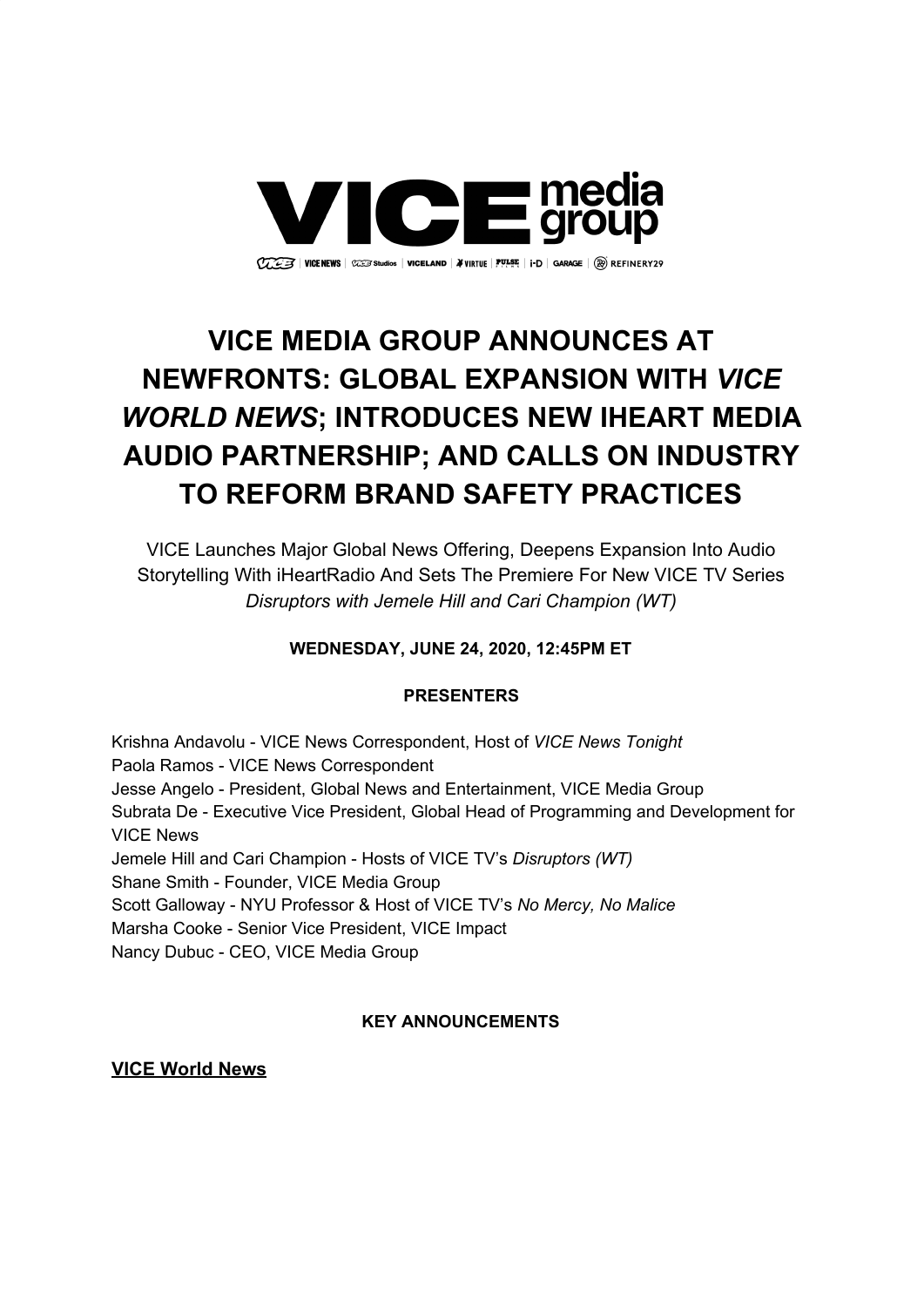

# **VICE MEDIA GROUP ANNOUNCES AT NEWFRONTS: GLOBAL EXPANSION WITH** *VICE WORLD NEWS***; INTRODUCES NEW IHEART MEDIA AUDIO PARTNERSHIP; AND CALLS ON INDUSTRY TO REFORM BRAND SAFETY PRACTICES**

VICE Launches Major Global News Offering, Deepens Expansion Into Audio Storytelling With iHeartRadio And Sets The Premiere For New VICE TV Series *Disruptors with Jemele Hill and Cari Champion (WT)*

## **WEDNESDAY, JUNE 24, 2020, 12:45PM ET**

### **PRESENTERS**

Krishna Andavolu - VICE News Correspondent, Host of *VICE News Tonight* Paola Ramos - VICE News Correspondent Jesse Angelo - President, Global News and Entertainment, VICE Media Group Subrata De - Executive Vice President, Global Head of Programming and Development for VICE News Jemele Hill and Cari Champion - Hosts of VICE TV's *Disruptors (WT)* Shane Smith - Founder, VICE Media Group Scott Galloway - NYU Professor & Host of VICE TV's *No Mercy, No Malice* Marsha Cooke - Senior Vice President, VICE Impact Nancy Dubuc - CEO, VICE Media Group

## **KEY ANNOUNCEMENTS**

**VICE World News**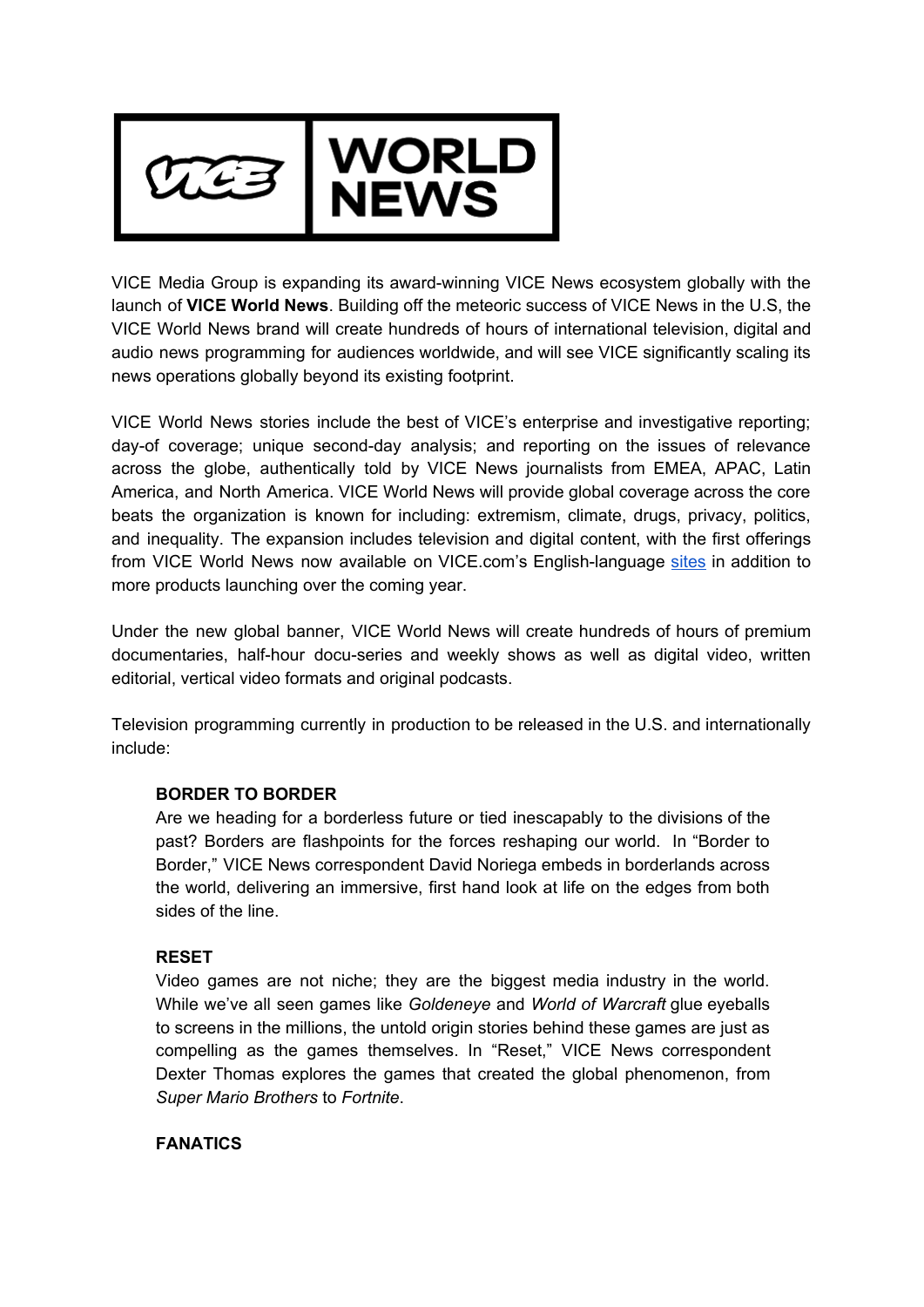

VICE Media Group is expanding its award-winning VICE News ecosystem globally with the launch of **VICE World News**. Building off the meteoric success of VICE News in the U.S, the VICE World News brand will create hundreds of hours of international television, digital and audio news programming for audiences worldwide, and will see VICE significantly scaling its news operations globally beyond its existing footprint.

VICE World News stories include the best of VICE's enterprise and investigative reporting; day-of coverage; unique second-day analysis; and reporting on the issues of relevance across the globe, authentically told by VICE News journalists from EMEA, APAC, Latin America, and North America. VICE World News will provide global coverage across the core beats the organization is known for including: extremism, climate, drugs, privacy, politics, and inequality. The expansion includes television and digital content, with the first offerings from VICE World News now available on VICE.com's English-language [sites](https://www.vice.com/en_us/section/world) in addition to more products launching over the coming year.

Under the new global banner, VICE World News will create hundreds of hours of premium documentaries, half-hour docu-series and weekly shows as well as digital video, written editorial, vertical video formats and original podcasts.

Television programming currently in production to be released in the U.S. and internationally include:

### **BORDER TO BORDER**

Are we heading for a borderless future or tied inescapably to the divisions of the past? Borders are flashpoints for the forces reshaping our world. In "Border to Border," VICE News correspondent David Noriega embeds in borderlands across the world, delivering an immersive, first hand look at life on the edges from both sides of the line.

#### **RESET**

Video games are not niche; they are the biggest media industry in the world. While we've all seen games like *Goldeneye* and *World of Warcraft* glue eyeballs to screens in the millions, the untold origin stories behind these games are just as compelling as the games themselves. In "Reset," VICE News correspondent Dexter Thomas explores the games that created the global phenomenon, from *Super Mario Brothers* to *Fortnite*.

#### **FANATICS**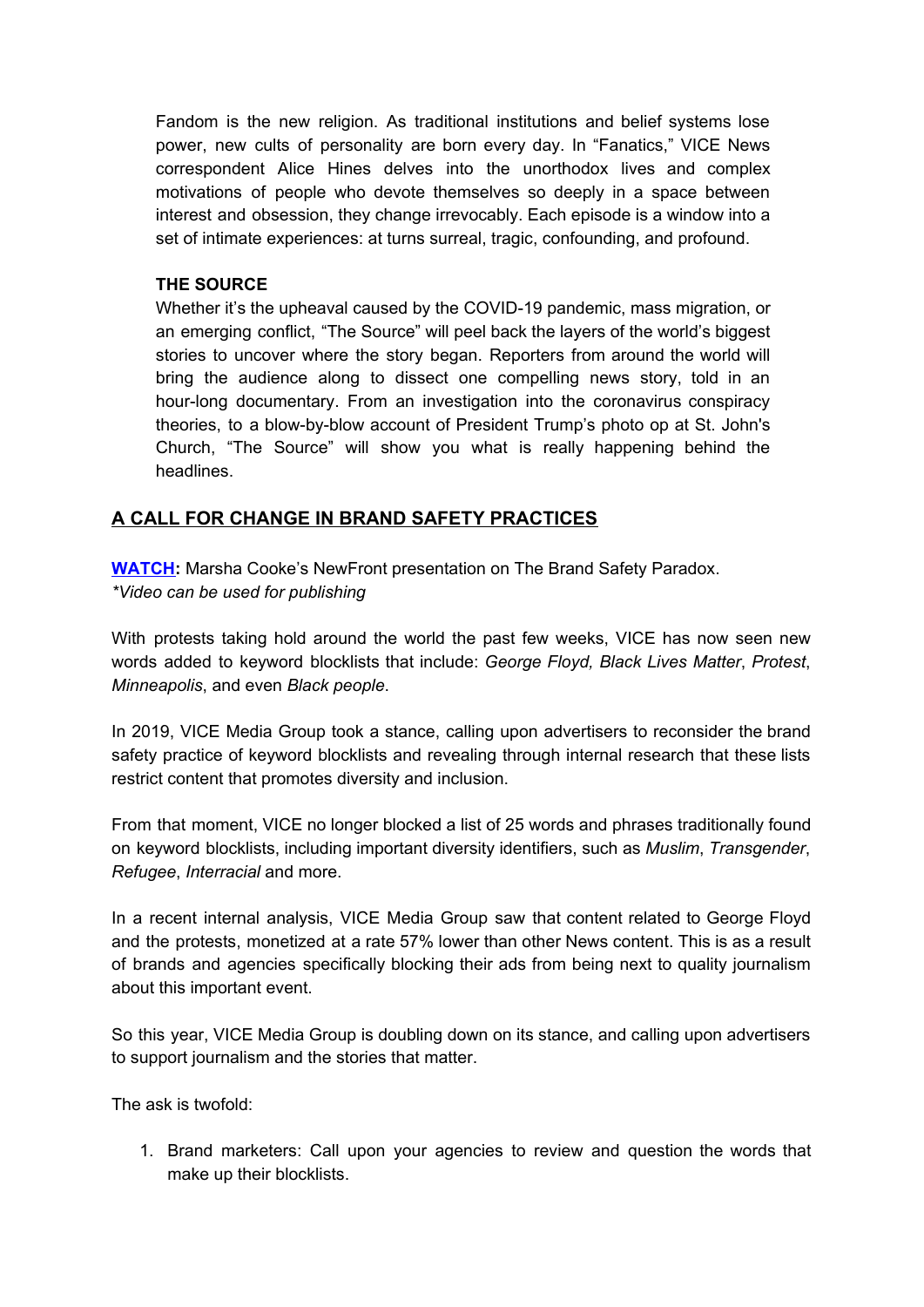Fandom is the new religion. As traditional institutions and belief systems lose power, new cults of personality are born every day. In "Fanatics," VICE News correspondent Alice Hines delves into the unorthodox lives and complex motivations of people who devote themselves so deeply in a space between interest and obsession, they change irrevocably. Each episode is a window into a set of intimate experiences: at turns surreal, tragic, confounding, and profound.

#### **THE SOURCE**

Whether it's the upheaval caused by the COVID-19 pandemic, mass migration, or an emerging conflict, "The Source" will peel back the layers of the world's biggest stories to uncover where the story began. Reporters from around the world will bring the audience along to dissect one compelling news story, told in an hour-long documentary. From an investigation into the coronavirus conspiracy theories, to a blow-by-blow account of President Trump's photo op at St. John's Church, "The Source" will show you what is really happening behind the headlines.

### **A CALL FOR CHANGE IN BRAND SAFETY PRACTICES**

**[WATCH:](https://vimeo.com/431855173/3a5354be21)** Marsha Cooke's NewFront presentation on The Brand Safety Paradox. *\*Video can be used for publishing*

With protests taking hold around the world the past few weeks, VICE has now seen new words added to keyword blocklists that include: *George Floyd, Black Lives Matter*, *Protest*, *Minneapolis*, and even *Black people*.

In 2019, VICE Media Group took a stance, calling upon advertisers to reconsider the brand safety practice of keyword blocklists and revealing through internal research that these lists restrict content that promotes diversity and inclusion.

From that moment, VICE no longer blocked a list of 25 words and phrases traditionally found on keyword blocklists, including important diversity identifiers, such as *Muslim*, *Transgender*, *Refugee*, *Interracial* and more.

In a recent internal analysis, VICE Media Group saw that content related to George Floyd and the protests, monetized at a rate 57% lower than other News content. This is as a result of brands and agencies specifically blocking their ads from being next to quality journalism about this important event.

So this year, VICE Media Group is doubling down on its stance, and calling upon advertisers to support journalism and the stories that matter.

The ask is twofold:

1. Brand marketers: Call upon your agencies to review and question the words that make up their blocklists.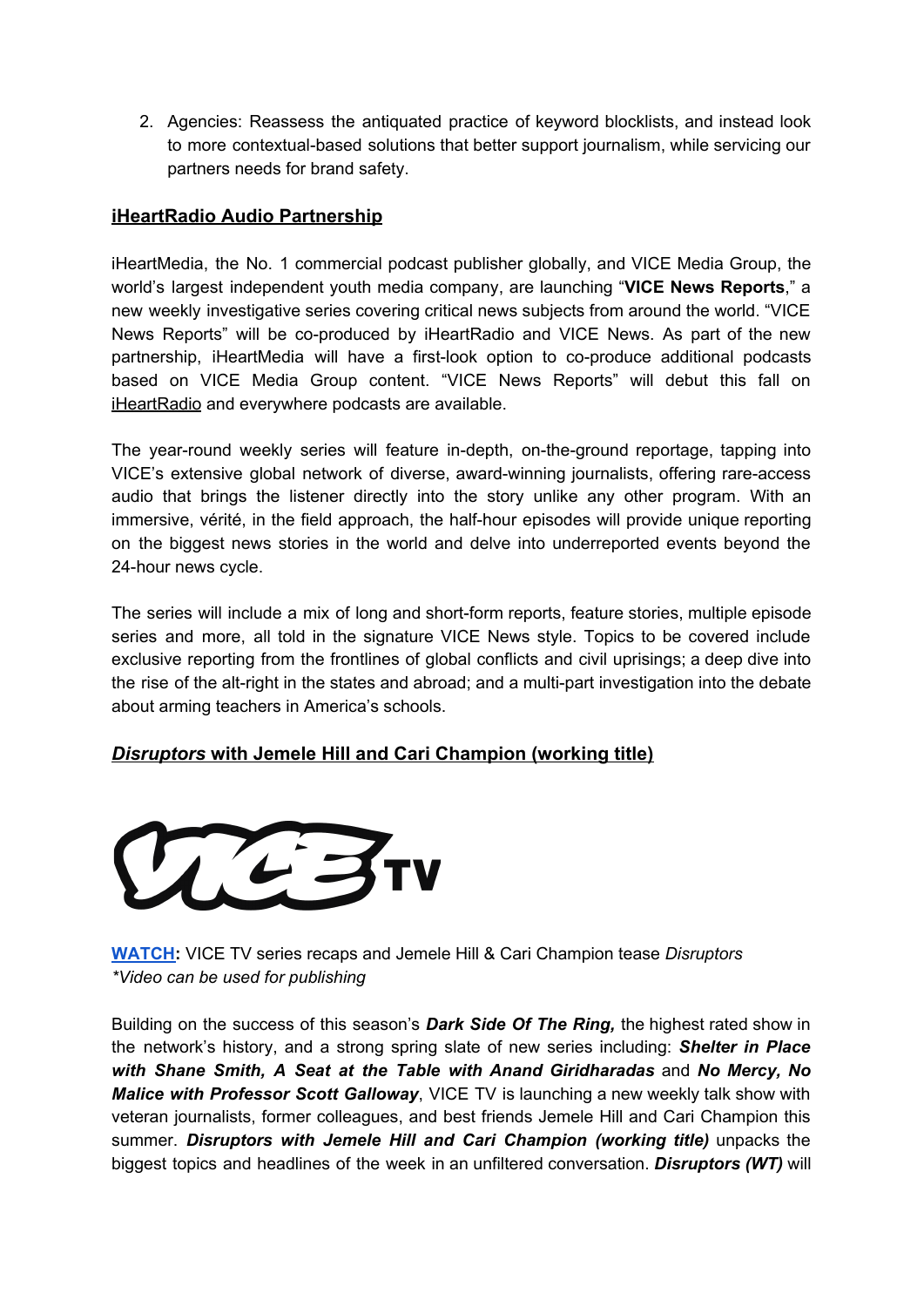2. Agencies: Reassess the antiquated practice of keyword blocklists, and instead look to more contextual-based solutions that better support journalism, while servicing our partners needs for brand safety.

## **iHeartRadio Audio Partnership**

iHeartMedia, the No. 1 commercial podcast publisher globally, and VICE Media Group, the world's largest independent youth media company, are launching "**VICE News Reports**," a new weekly investigative series covering critical news subjects from around the world. "VICE News Reports" will be co-produced by iHeartRadio and VICE News. As part of the new partnership, iHeartMedia will have a first-look option to co-produce additional podcasts based on VICE Media Group content. "VICE News Reports" will debut this fall on [iHeartRadio](http://www.iheart.com/) and everywhere podcasts are available.

The year-round weekly series will feature in-depth, on-the-ground reportage, tapping into VICE's extensive global network of diverse, award-winning journalists, offering rare-access audio that brings the listener directly into the story unlike any other program. With an immersive, vérité, in the field approach, the half-hour episodes will provide unique reporting on the biggest news stories in the world and delve into underreported events beyond the 24-hour news cycle.

The series will include a mix of long and short-form reports, feature stories, multiple episode series and more, all told in the signature VICE News style. Topics to be covered include exclusive reporting from the frontlines of global conflicts and civil uprisings; a deep dive into the rise of the alt-right in the states and abroad; and a multi-part investigation into the debate about arming teachers in America's schools.

## *Disruptors* **with Jemele Hill and Cari Champion (working title)**



**[WATCH:](https://vimeo.com/431847744/e8ccafaa1e)** VICE TV series recaps and Jemele Hill & Cari Champion tease *Disruptors \*Video can be used for publishing*

Building on the success of this season's *Dark Side Of The Ring,* the highest rated show in the network's history, and a strong spring slate of new series including: *Shelter in Place with Shane Smith, A Seat at the Table with Anand Giridharadas* and *No Mercy, No Malice with Professor Scott Galloway*, VICE TV is launching a new weekly talk show with veteran journalists, former colleagues, and best friends Jemele Hill and Cari Champion this summer. *Disruptors with Jemele Hill and Cari Champion (working title)* unpacks the biggest topics and headlines of the week in an unfiltered conversation. *Disruptors (WT)* will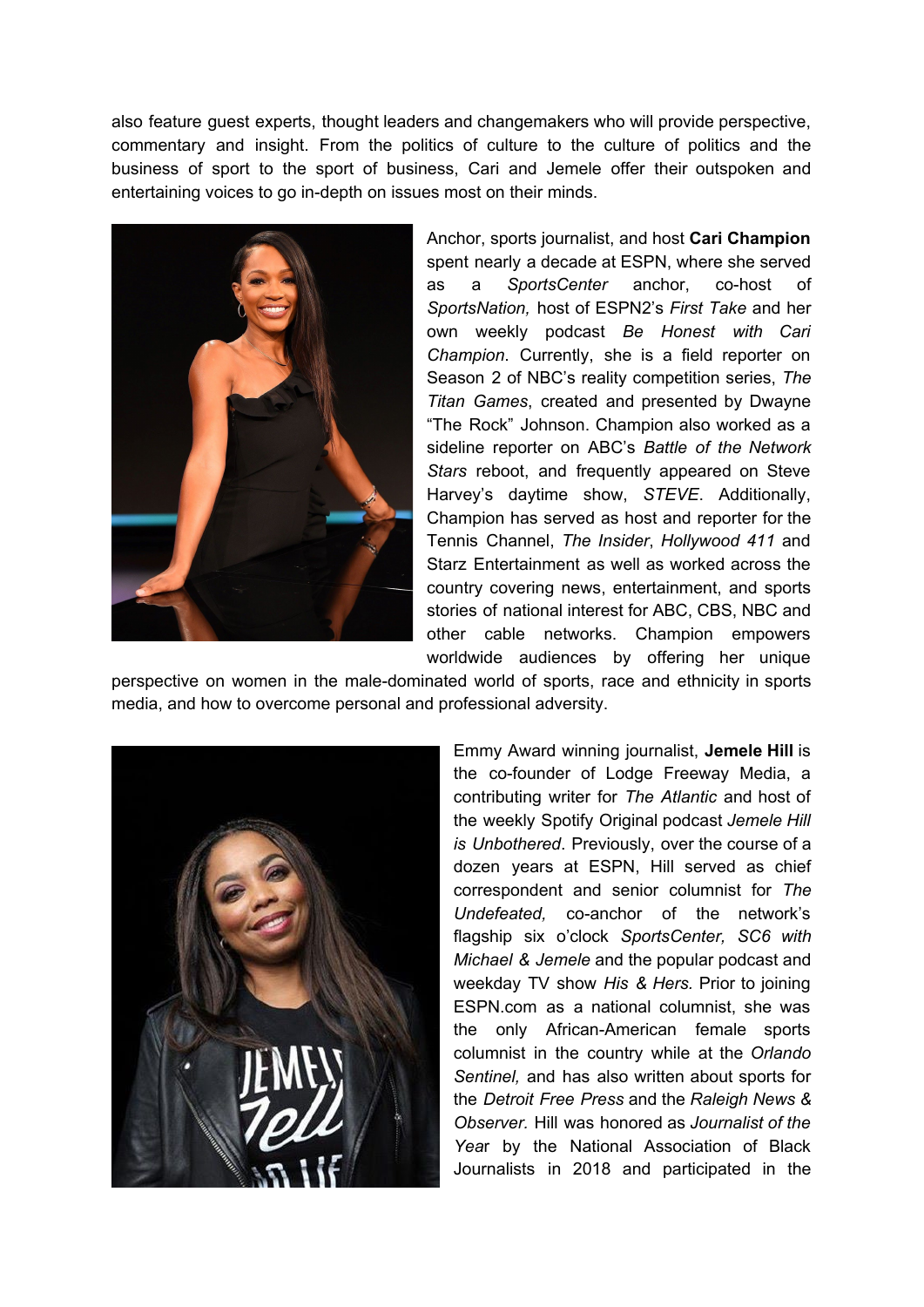also feature guest experts, thought leaders and changemakers who will provide perspective, commentary and insight. From the politics of culture to the culture of politics and the business of sport to the sport of business, Cari and Jemele offer their outspoken and entertaining voices to go in-depth on issues most on their minds.



Anchor, sports journalist, and host **Cari Champion** spent nearly a decade at ESPN, where she served as a *SportsCenter* anchor, co-host of *SportsNation,* host of ESPN2's *First Take* and her own weekly podcast *Be Honest with Cari Champion*. Currently, she is a field reporter on Season 2 of NBC's reality competition series, *The Titan Games*, created and presented by Dwayne "The Rock" Johnson. Champion also worked as a sideline reporter on ABC's *Battle of the Network Stars* reboot, and frequently appeared on Steve Harvey's daytime show, *STEVE*. Additionally, Champion has served as host and reporter for the Tennis Channel, *The Insider*, *Hollywood 411* and Starz Entertainment as well as worked across the country covering news, entertainment, and sports stories of national interest for ABC, CBS, NBC and other cable networks. Champion empowers worldwide audiences by offering her unique

perspective on women in the male-dominated world of sports, race and ethnicity in sports media, and how to overcome personal and professional adversity.



Emmy Award winning journalist, **Jemele Hill** is the co-founder of Lodge Freeway Media, a contributing writer for *The Atlantic* and host of the weekly Spotify Original podcast *Jemele Hill is Unbothered*. Previously, over the course of a dozen years at ESPN, Hill served as chief correspondent and senior columnist for *The Undefeated,* co-anchor of the network's flagship six o'clock *SportsCenter, SC6 with Michael & Jemele* and the popular podcast and weekday TV show *His & Hers.* Prior to joining ESPN.com as a national columnist, she was the only African-American female sports columnist in the country while at the *Orlando Sentinel,* and has also written about sports for the *Detroit Free Press* and the *Raleigh News & Observer.* Hill was honored as *Journalist of the Yea*r by the National Association of Black Journalists in 2018 and participated in the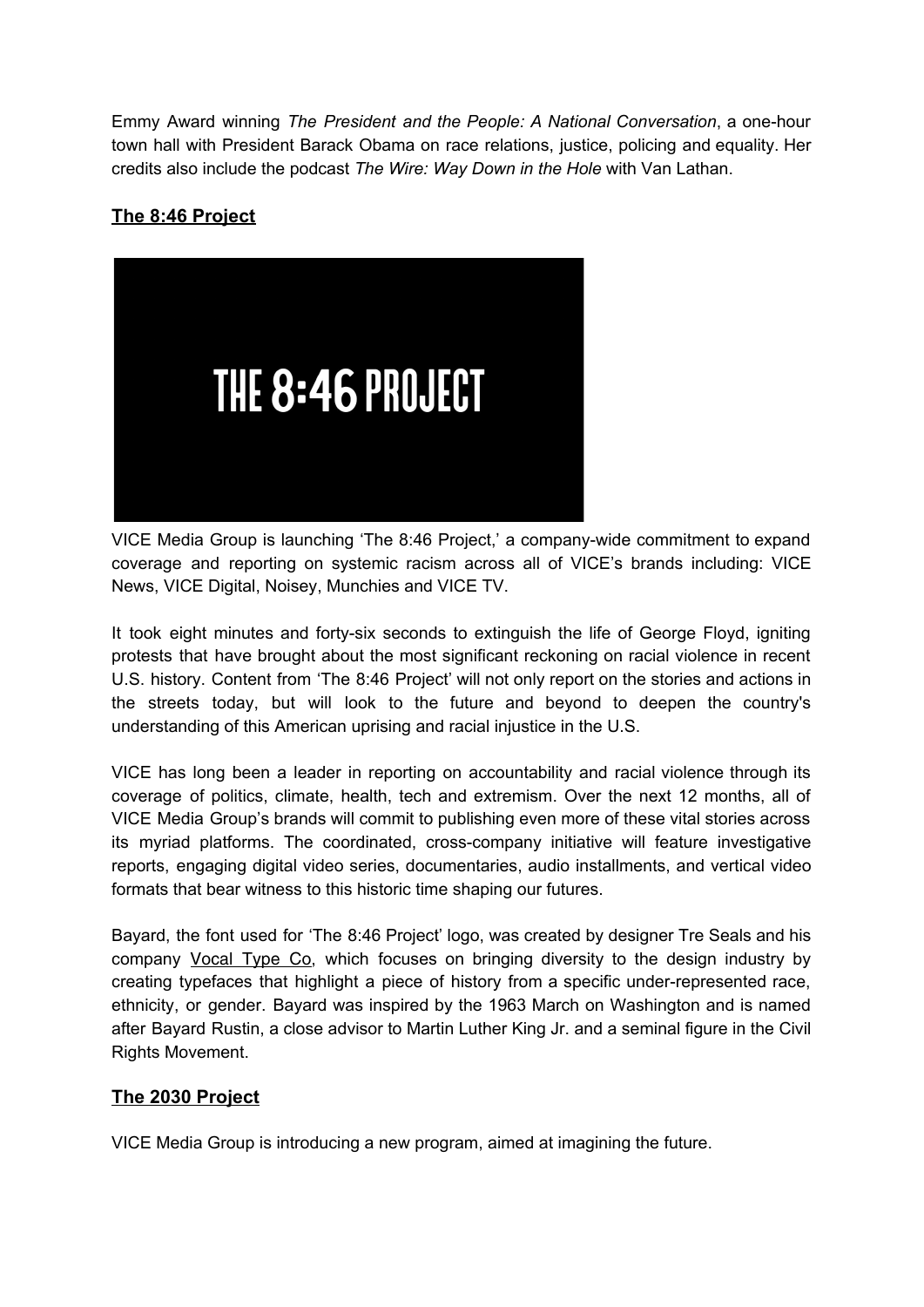Emmy Award winning *The President and the People: A National Conversation*, a one-hour town hall with President Barack Obama on race relations, justice, policing and equality. Her credits also include the podcast *The Wire: Way Down in the Hole* with Van Lathan.

## **The 8:46 Project**



VICE Media Group is launching 'The 8:46 Project,' a company-wide commitment to expand coverage and reporting on systemic racism across all of VICE's brands including: VICE News, VICE Digital, Noisey, Munchies and VICE TV.

It took eight minutes and forty-six seconds to extinguish the life of George Floyd, igniting protests that have brought about the most significant reckoning on racial violence in recent U.S. history. Content from 'The 8:46 Project' will not only report on the stories and actions in the streets today, but will look to the future and beyond to deepen the country's understanding of this American uprising and racial injustice in the U.S.

VICE has long been a leader in reporting on accountability and racial violence through its coverage of politics, climate, health, tech and extremism. Over the next 12 months, all of VICE Media Group's brands will commit to publishing even more of these vital stories across its myriad platforms. The coordinated, cross-company initiative will feature investigative reports, engaging digital video series, documentaries, audio installments, and vertical video formats that bear witness to this historic time shaping our futures.

Bayard, the font used for 'The 8:46 Project' logo, was created by designer Tre Seals and his company [Vocal](https://www.vocaltype.co/) Type Co, which focuses on bringing diversity to the design industry by creating typefaces that highlight a piece of history from a specific under-represented race, ethnicity, or gender. Bayard was inspired by the 1963 March on Washington and is named after Bayard Rustin, a close advisor to Martin Luther King Jr. and a seminal figure in the Civil Rights Movement.

## **The 2030 Project**

VICE Media Group is introducing a new program, aimed at imagining the future.